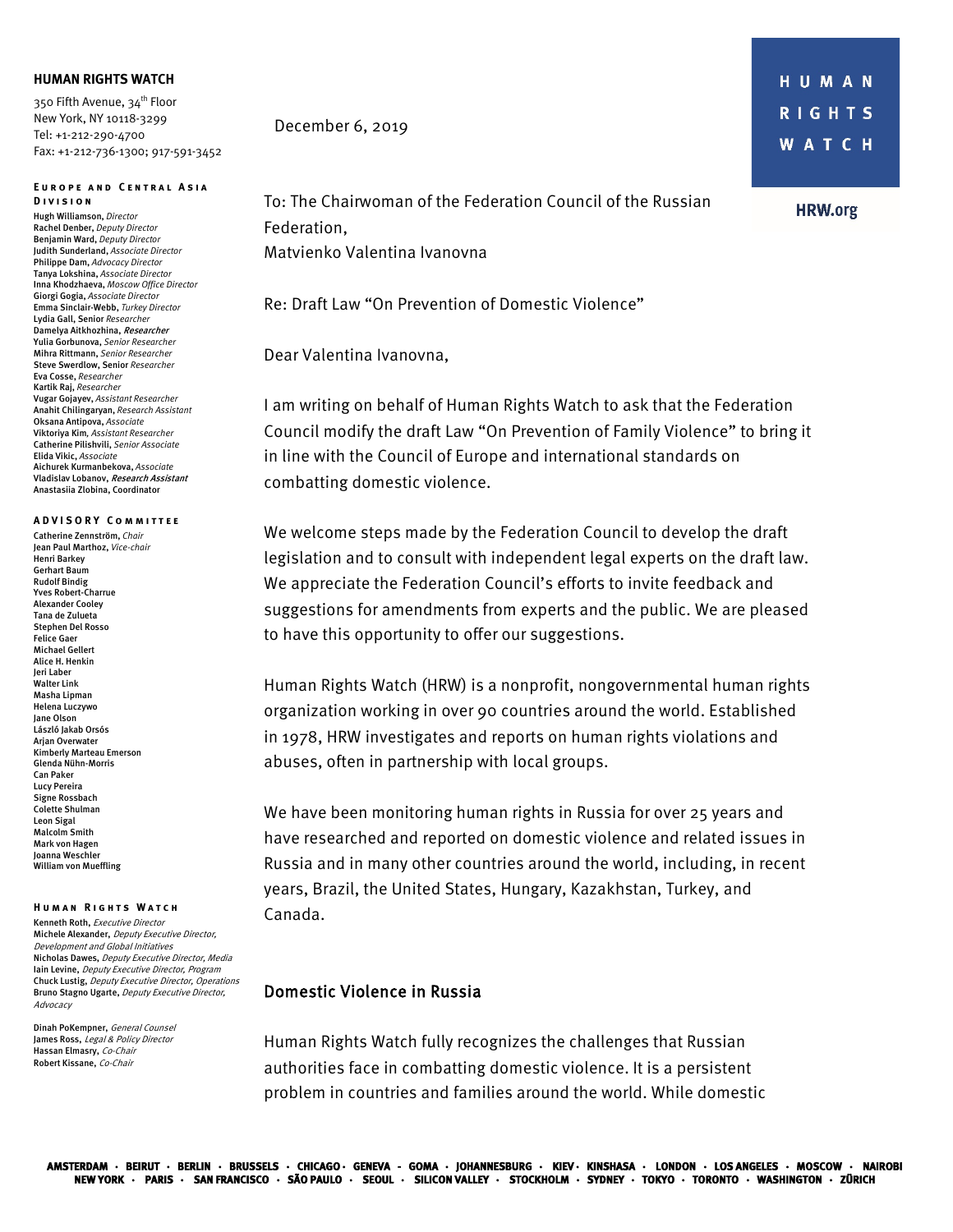### **HUMAN RIGHTS WATCH**

350 Fifth Avenue, 34<sup>th</sup> Floor New York, NY 10118-3299 Tel: +1-212-290-4700 Fax: +1-212-736-1300; 917-591-3452

#### **E urope and Central Asia Division**

Hugh Williamson, *Director* Rachel Denber, *Deputy Director*  Benjamin Ward, *Deputy Director* Judith Sunderland, *Associate Director* Philippe Dam, *Advocacy Director* Tanya Lokshina, *Associate Director* Inna Khodzhaeva, *Moscow Office Director* Giorgi Gogia, *Associate Director* Emma Sinclair-Webb, *Turkey Director* Lydia Gall, Senior *Researcher* Damelya Aitkhozhina, Researcher Yulia Gorbunova, *Senior Researcher*  Mihra Rittmann, *Senior Researcher* Steve Swerdlow, Senior *Researcher* Eva Cosse, *Researcher* Kartik Raj, *Researcher* Vugar Gojayev, *Assistant Researcher* Anahit Chilingaryan, *Research Assistant* Oksana Antipova, *Associate* Viktoriya Kim*, Assistant Researcher*  Catherine Pilishvili, *Senior Associate* Elida Vikic, *Associate* Aichurek Kurmanbekova, *Associate* Vladislav Lobanov, Research Assistant Anastasiia Zlobina, Coordinator

#### **ADVISORY Committee**

Catherine Zennström, *Chair* Jean Paul Marthoz, *Vice-chair* Henri Barkey Gerhart Baum Rudolf Bindig Yves Robert-Charrue Alexander Cooley Tana de Zulueta Stephen Del Rosso Felice Gaer Michael Gellert Alice H. Henkin Jeri Laber Walter Link Masha Lipman Helena Luczywo Jane Olson László Jakab Orsós Arjan Overwater Kimberly Marteau Emerson Glenda Nühn-Morris Can Paker Lucy Pereira Signe Rossbach Colette Shulman Leon Sigal Malcolm Smith Mark von Hagen Joanna Weschler William von Mueffling

### **Human Rights Watch**

Kenneth Roth, Executive Director Michele Alexander, Deputy Executive Director, Development and Global Initiatives Nicholas Dawes, Deputy Executive Director, Media Iain Levine, Deputy Executive Director, Program Chuck Lustig, Deputy Executive Director, Operations Bruno Stagno Ugarte, Deputy Executive Director, Advocacy

Dinah PoKempner, General Counsel James Ross, Legal & Policy Director Hassan Elmasry, Co-Chair Robert Kissane, Co-Chair

### December 6, 2019

HUMAN **RIGHTS** W A T C H

## **HRW.org**

To: The Chairwoman of the Federation Council of the Russian Federation, Matvienko Valentina Ivanovna

Re: Draft Law "On Prevention of Domestic Violence"

Dear Valentina Ivanovna,

I am writing on behalf of Human Rights Watch to ask that the Federation Council modify the draft Law "On Prevention of Family Violence" to bring it in line with the Council of Europe and international standards on combatting domestic violence.

We welcome steps made by the Federation Council to develop the draft legislation and to consult with independent legal experts on the draft law. We appreciate the Federation Council's efforts to invite feedback and suggestions for amendments from experts and the public. We are pleased to have this opportunity to offer our suggestions.

Human Rights Watch (HRW) is a nonprofit, nongovernmental human rights organization working in over 90 countries around the world. Established in 1978, HRW investigates and reports on human rights violations and abuses, often in partnership with local groups.

We have been monitoring human rights in Russia for over 25 years and have researched and reported on domestic violence and related issues in Russia and in many other countries around the world, including, in recent years, Brazil, the United States, Hungary, Kazakhstan, Turkey, and Canada.

### Domestic Violence in Russia

Human Rights Watch fully recognizes the challenges that Russian authorities face in combatting domestic violence. It is a persistent problem in countries and families around the world. While domestic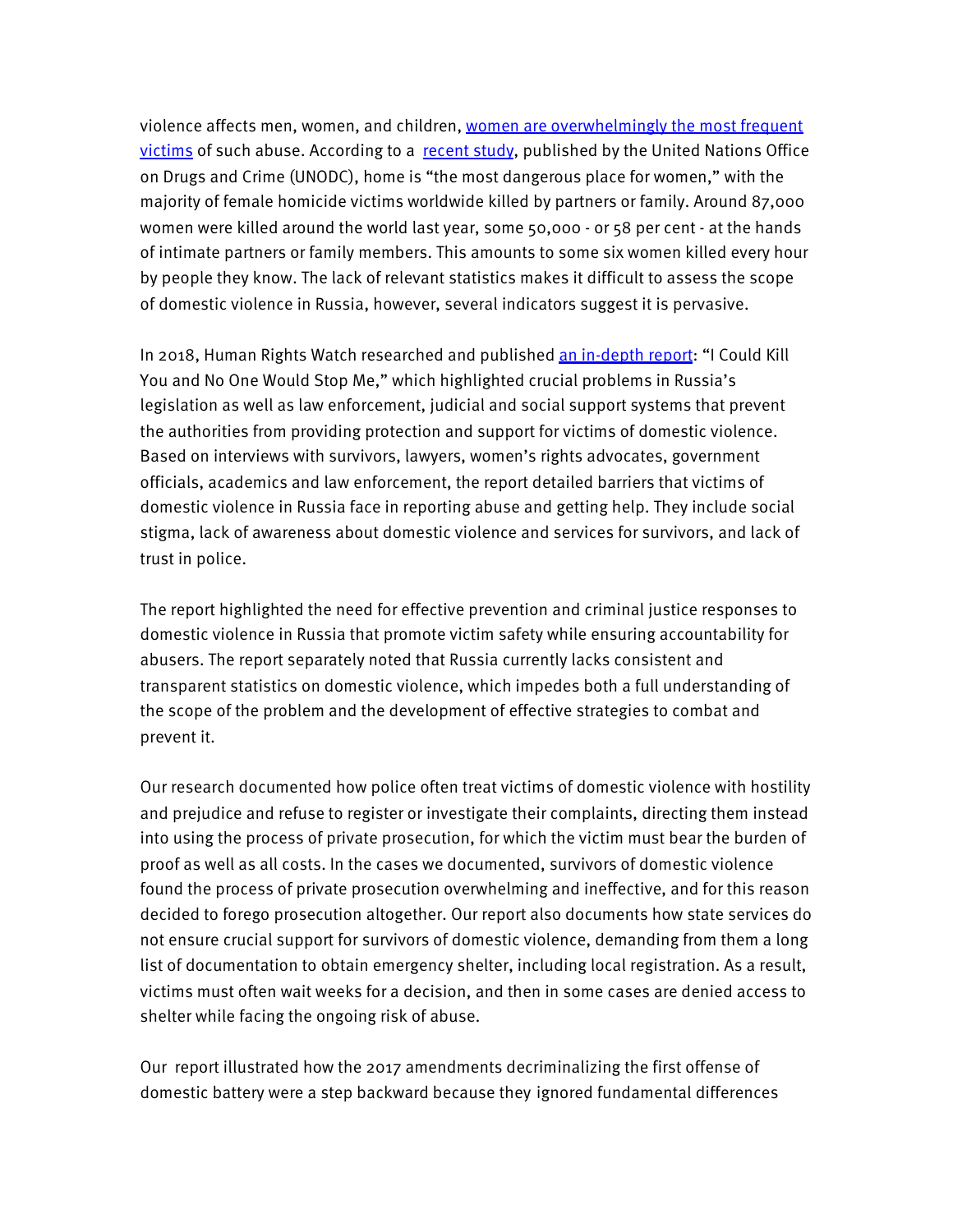violence affects men, women, and children, [women are overwhelmingly the most frequent](https://rm.coe.int/istanbul-convention-questions-and-answers/16808f0b80)  [victims](https://rm.coe.int/istanbul-convention-questions-and-answers/16808f0b80) of such abuse. According to a [recent study,](https://www.unodc.org/unodc/en/frontpage/2018/November/home-the-most-dangerous-place-for-women-with-majority-of-female-homicide-victims-worldwide-killed-by-partners-or-family--unodc-study-says.html?ref=fs1&fbclid=IwAR2oq5q3r2FmYNeirze3TuDLcHxbXbmCJEk0AOmXbPGf6aKPotPATSB7hpw) published by the United Nations Office on Drugs and Crime (UNODC), home is "the most dangerous place for women," with the majority of female homicide victims worldwide killed by partners or family. Around 87,000 women were killed around the world last year, some 50,000 - or 58 per cent - at the hands of intimate partners or family members. This amounts to some six women killed every hour by people they know. The lack of relevant statistics makes it difficult to assess the scope of domestic violence in Russia, however, several indicators suggest it is pervasive.

In 2018, Human Rights Watch researched and published [an in-depth report:](https://www.hrw.org/report/2018/10/25/i-could-kill-you-and-no-one-would-stop-me/weak-state-response-domestic-violence#2ba0c1) "I Could Kill You and No One Would Stop Me," which highlighted crucial problems in Russia's legislation as well as law enforcement, judicial and social support systems that prevent the authorities from providing protection and support for victims of domestic violence. Based on interviews with survivors, lawyers, women's rights advocates, government officials, academics and law enforcement, the report detailed barriers that victims of domestic violence in Russia face in reporting abuse and getting help. They include social stigma, lack of awareness about domestic violence and services for survivors, and lack of trust in police.

The report highlighted the need for effective prevention and criminal justice responses to domestic violence in Russia that promote victim safety while ensuring accountability for abusers. The report separately noted that Russia currently lacks consistent and transparent statistics on domestic violence, which impedes both a full understanding of the scope of the problem and the development of effective strategies to combat and prevent it.

Our research documented how police often treat victims of domestic violence with hostility and prejudice and refuse to register or investigate their complaints, directing them instead into using the process of private prosecution, for which the victim must bear the burden of proof as well as all costs. In the cases we documented, survivors of domestic violence found the process of private prosecution overwhelming and ineffective, and for this reason decided to forego prosecution altogether. Our report also documents how state services do not ensure crucial support for survivors of domestic violence, demanding from them a long list of documentation to obtain emergency shelter, including local registration. As a result, victims must often wait weeks for a decision, and then in some cases are denied access to shelter while facing the ongoing risk of abuse.

Our report illustrated how the 2017 amendments decriminalizing the first offense of domestic battery were a step backward because they ignored fundamental differences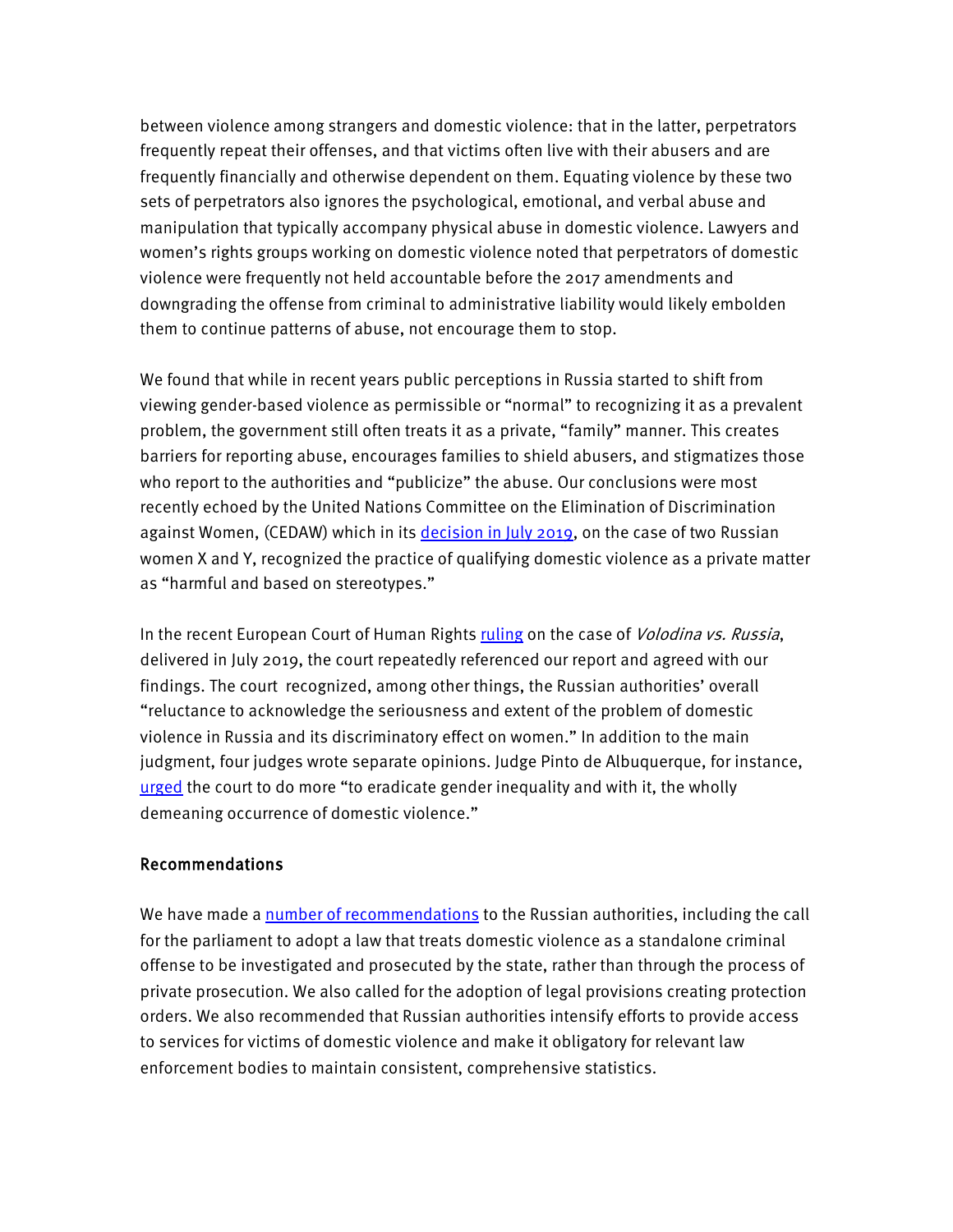between violence among strangers and domestic violence: that in the latter, perpetrators frequently repeat their offenses, and that victims often live with their abusers and are frequently financially and otherwise dependent on them. Equating violence by these two sets of perpetrators also ignores the psychological, emotional, and verbal abuse and manipulation that typically accompany physical abuse in domestic violence. Lawyers and women's rights groups working on domestic violence noted that perpetrators of domestic violence were frequently not held accountable before the 2017 amendments and downgrading the offense from criminal to administrative liability would likely embolden them to continue patterns of abuse, not encourage them to stop.

We found that while in recent years public perceptions in Russia started to shift from viewing gender-based violence as permissible or "normal" to recognizing it as a prevalent problem, the government still often treats it as a private, "family" manner. This creates barriers for reporting abuse, encourages families to shield abusers, and stigmatizes those who report to the authorities and "publicize" the abuse. Our conclusions were most recently echoed by the United Nations Committee on the Elimination of Discrimination against Women, (CEDAW) which in its [decision in July 2019,](https://tbinternet.ohchr.org/_layouts/15/treatybodyexternal/Download.aspx?symbolno=CEDAW%2fC%2f73%2fD%2f100%2f2016&Lang=en) on the case of two Russian women X and Y, recognized the practice of qualifying domestic violence as a private matter as "harmful and based on stereotypes."

In the recent European Court of Human Rights [ruling](https://hudoc.echr.coe.int/rus#%7B%22itemid%22:%5B%22001-194321%22%5D%7D) on the case of *Volodina vs. Russia*, delivered in July 2019, the court repeatedly referenced our report and agreed with our findings. The court recognized, among other things, the Russian authorities' overall ["reluctance to acknowledge](https://hudoc.echr.coe.int/eng#%7B) the seriousness and extent of the problem of domestic violence in Russia and its discriminatory effect on women." In addition to the main judgment, four judges wrote separate opinions. Judge Pinto de Albuquerque, for instance, [urged](https://hudoc.echr.coe.int/rus#%7B%22itemid%22:%5B%22001-194321%22%5D%7D) the court to do more "to eradicate gender inequality and with it, the wholly [demeaning occurrence of domestic violence.](http://hudoc.echr.coe.int/eng?i=001-194321)"

## Recommendations

We have made a [number of recommendations](https://www.hrw.org/report/2018/10/25/i-could-kill-you-and-no-one-would-stop-me/weak-state-response-domestic-violence) to the Russian authorities, including the call for the parliament to adopt a law that treats domestic violence as a standalone criminal offense to be investigated and prosecuted by the state, rather than through the process of private prosecution. We also called for the adoption of legal provisions creating protection orders. We also recommended that Russian authorities intensify efforts to provide access to services for victims of domestic violence and make it obligatory for relevant law enforcement bodies to maintain consistent, comprehensive statistics.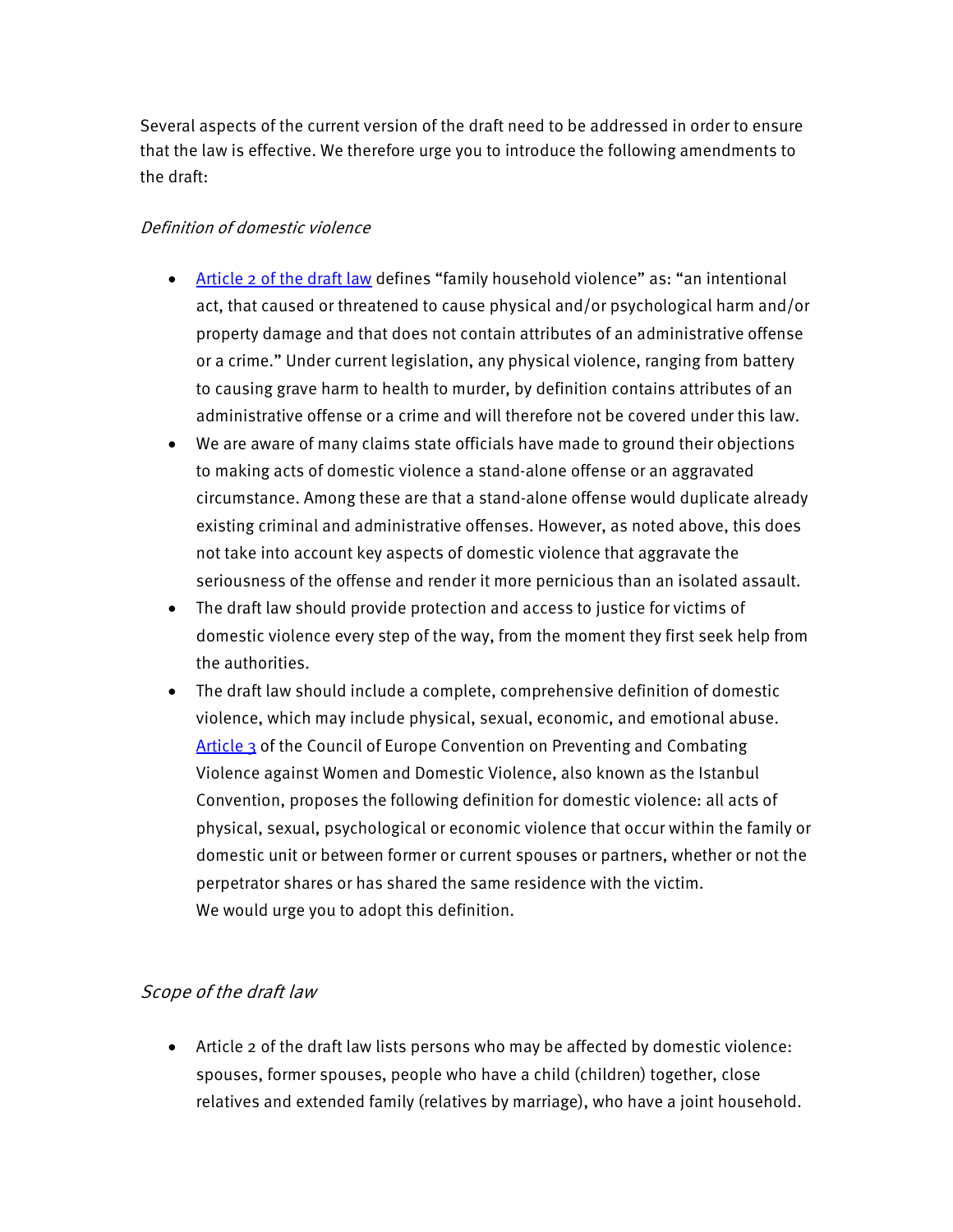Several aspects of the current version of the draft need to be addressed in order to ensure that the law is effective. We therefore urge you to introduce the following amendments to the draft:

## Definition of domestic violence

- [Article 2 of the](http://council.gov.ru/media/files/rDb1bpYASUAxolgmPXEfKLUIq7JAARUS.pdf) draft law defines "family household violence" as: "an intentional act, that caused or threatened to cause physical and/or psychological harm and/or property damage and that does not contain attributes of an administrative offense or a crime." Under current legislation, any physical violence, ranging from battery to causing grave harm to health to murder, by definition contains attributes of an administrative offense or a crime and will therefore not be covered under this law.
- We are aware of many claims state officials have made to ground their objections to making acts of domestic violence a stand-alone offense or an aggravated circumstance. Among these are that a stand-alone offense would duplicate already existing criminal and administrative offenses. However, as noted above, this does not take into account key aspects of domestic violence that aggravate the seriousness of the offense and render it more pernicious than an isolated assault.
- The draft law should provide protection and access to justice for victims of domestic violence every step of the way, from the moment they first seek help from the authorities.
- The draft law should include a complete, comprehensive definition of domestic violence, which may include physical, sexual, economic, and emotional abuse. [Article 3](https://www.coe.int/fr/web/conventions/full-list/-/conventions/rms/090000168008482e) of the Council of Europe Convention on Preventing and Combating Violence against Women and Domestic Violence, also known as the Istanbul Convention, proposes the following definition for domestic violence: all acts of physical, sexual, psychological or economic violence that occur within the family or domestic unit or between former or current spouses or partners, whether or not the perpetrator shares or has shared the same residence with the victim. We would urge you to adopt this definition.

# Scope of the draft law

• Article 2 of the draft law lists persons who may be affected by domestic violence: spouses, former spouses, people who have a child (children) together, close relatives and extended family (relatives by marriage), who have a joint household.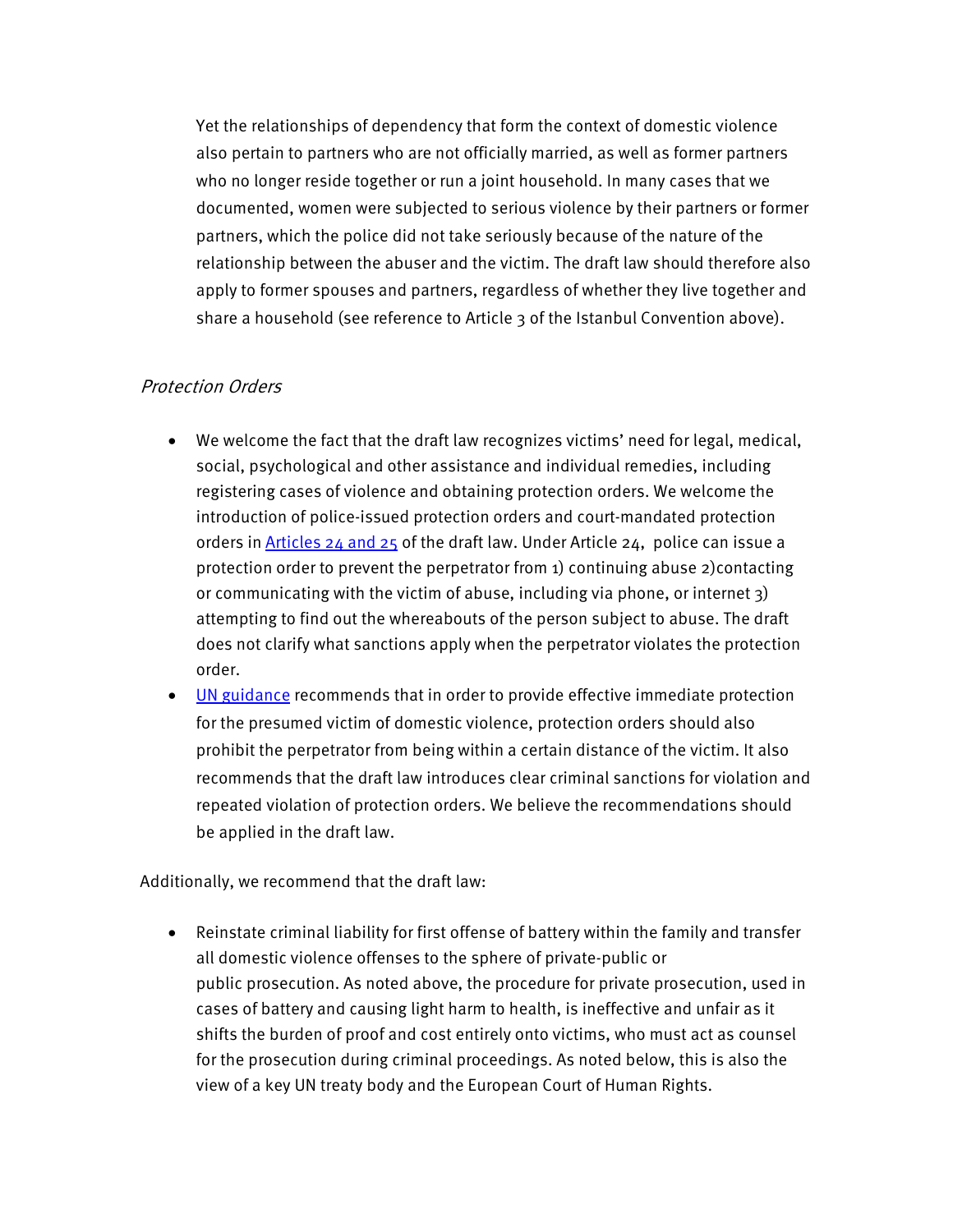Yet the relationships of dependency that form the context of domestic violence also pertain to partners who are not officially married, as well as former partners who no longer reside together or run a joint household. In many cases that we documented, women were subjected to serious violence by their partners or former partners, which the police did not take seriously because of the nature of the relationship between the abuser and the victim. The draft law should therefore also apply to former spouses and partners, regardless of whether they live together and share a household (see reference to Article 3 of the Istanbul Convention above).

# Protection Orders

- We welcome the fact that the draft law recognizes victims' need for legal, medical, social, psychological and other assistance and individual remedies, including registering cases of violence and obtaining protection orders. We welcome the introduction of police-issued protection orders and court-mandated protection orders in Articles [24 and 25](http://council.gov.ru/media/files/rDb1bpYASUAxolgmPXEfKLUIq7JAARUS.pdf) of the draft law. Under Article 24, police can issue a protection order to prevent the perpetrator from 1) continuing abuse 2)contacting or communicating with the victim of abuse, including via phone, or internet 3) attempting to find out the whereabouts of the person subject to abuse. The draft does not clarify what sanctions apply when the perpetrator violates the protection order.
- [UN guidance](https://www.unwomen.org/en/digital-library/publications/2012/12/handbook-for-legislation-on-violence-against-women) recommends that in order to provide effective immediate protection for the presumed victim of domestic violence, protection orders should also prohibit the perpetrator from being within a certain distance of the victim. It also recommends that the draft law introduces clear criminal sanctions for violation and repeated violation of protection orders. We believe the recommendations should be applied in the draft law.

Additionally, we recommend that the draft law:

• Reinstate criminal liability for first offense of battery within the family and transfer all domestic violence offenses to the sphere of private-public or public prosecution. As noted above, the procedure for private prosecution, used in cases of battery and causing light harm to health, is ineffective and unfair as it shifts the burden of proof and cost entirely onto victims, who must act as counsel for the prosecution during criminal proceedings. As noted below, this is also the view of a key UN treaty body and the European Court of Human Rights.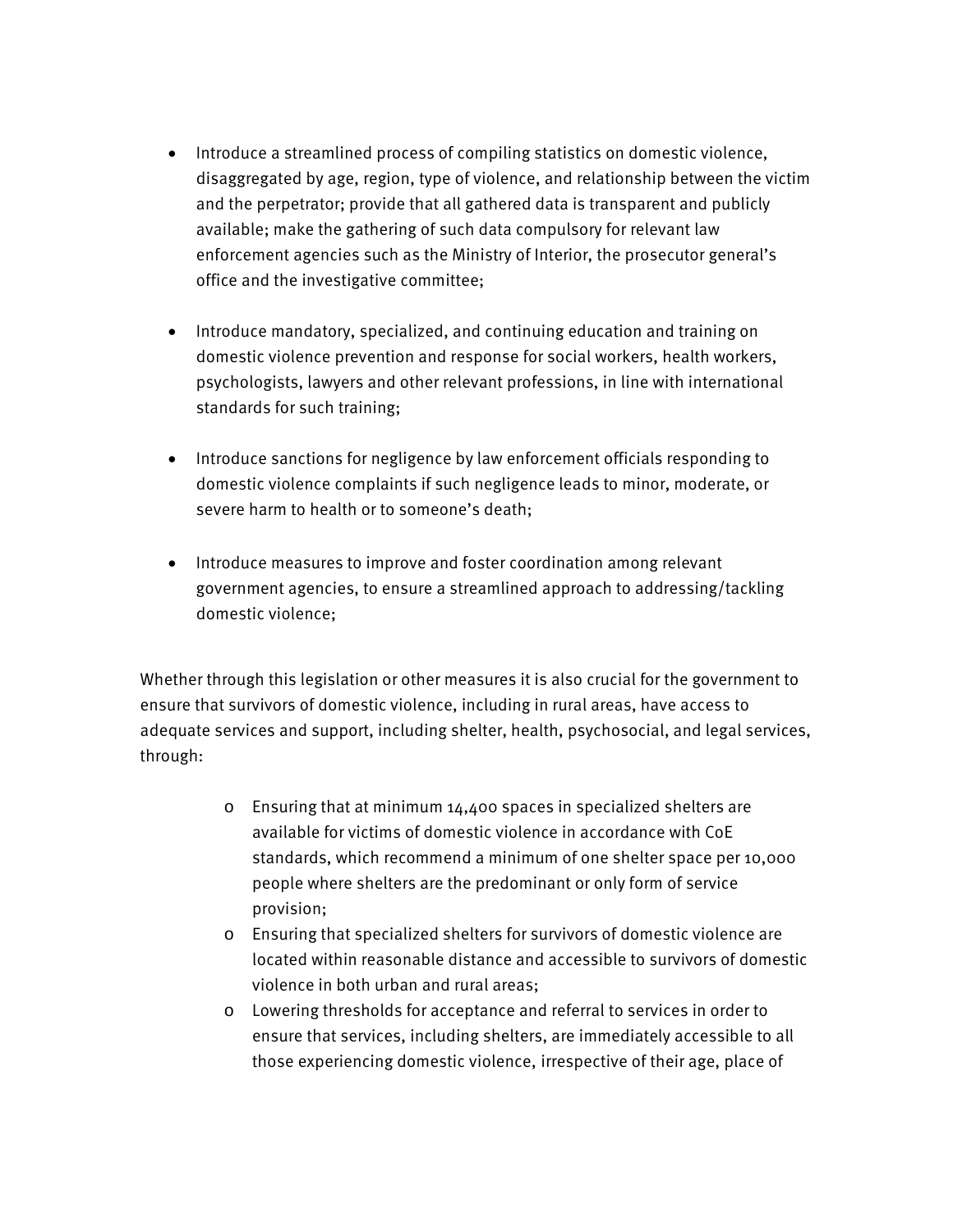- Introduce a streamlined process of compiling statistics on domestic violence, disaggregated by age, region, type of violence, and relationship between the victim and the perpetrator; provide that all gathered data is transparent and publicly available; make the gathering of such data compulsory for relevant law enforcement agencies such as the Ministry of Interior, the prosecutor general's office and the investigative committee;
- Introduce mandatory, specialized, and continuing education and training on domestic violence prevention and response for social workers, health workers, psychologists, lawyers and other relevant professions, in line with international standards for such training;
- Introduce sanctions for negligence by law enforcement officials responding to domestic violence complaints if such negligence leads to minor, moderate, or severe harm to health or to someone's death;
- Introduce measures to improve and foster coordination among relevant government agencies, to ensure a streamlined approach to addressing/tackling domestic violence;

Whether through this legislation or other measures it is also crucial for the government to ensure that survivors of domestic violence, including in rural areas, have access to adequate services and support, including shelter, health, psychosocial, and legal services, through:

- o Ensuring that at minimum 14,400 spaces in specialized shelters are available for victims of domestic violence in accordance with CoE standards, which recommend a minimum of one shelter space per 10,000 people where shelters are the predominant or only form of service provision;
- o Ensuring that specialized shelters for survivors of domestic violence are located within reasonable distance and accessible to survivors of domestic violence in both urban and rural areas;
- o Lowering thresholds for acceptance and referral to services in order to ensure that services, including shelters, are immediately accessible to all those experiencing domestic violence, irrespective of their age, place of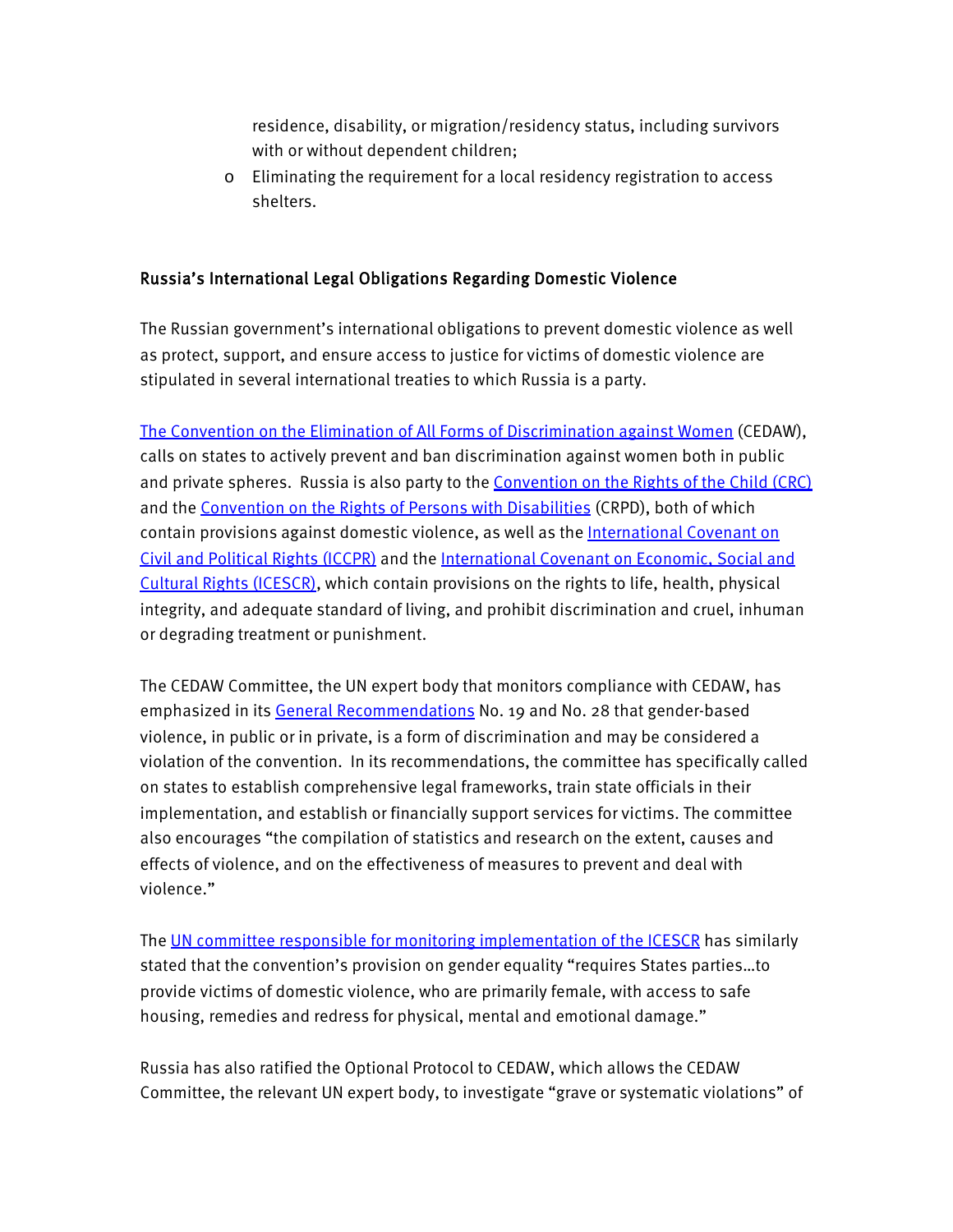residence, disability, or migration/residency status, including survivors with or without dependent children;

o Eliminating the requirement for a local residency registration to access shelters.

## Russia's International Legal Obligations Regarding Domestic Violence

The Russian government's international obligations to prevent domestic violence as well as protect, support, and ensure access to justice for victims of domestic violence are stipulated in several international treaties to which Russia is a party.

[The Convention on the Elimination of All Forms of Discrimination against Women](https://www.ohchr.org/en/professionalinterest/pages/cedaw.aspx) (CEDAW), calls on states to actively prevent and ban discrimination against women both in public and private spheres. Russia is also party to the [Convention on the Rights of the Child \(CRC\)](https://www.google.ru/url?sa=t&rct=j&q=&esrc=s&source=web&cd=1&cad=rja&uact=8&ved=2ahUKEwiJ3dbYwZnmAhVO2aYKHd6ZCTEQFjAAegQIAxAB&url=https%3A%2F%2Fwww.ohchr.org%2Fen%2Fprofessionalinterest%2Fpages%2Fcrc.aspx&usg=AOvVaw06IzabSOudAFhz0Cjv14Ai) and the [Convention on the Rights of Persons with Disabilities](https://www.un.org/development/desa/disabilities/convention-on-the-rights-of-persons-with-disabilities.html) (CRPD), both of which contain provisions against domestic violence, as well as th[e International Covenant on](https://www.google.ru/url?sa=t&rct=j&q=&esrc=s&source=web&cd=8&cad=rja&uact=8&ved=2ahUKEwjx4cbhwZnmAhVcxcQBHa0QAHcQFjAHegQIAxAB&url=https%3A%2F%2Fwww.ohchr.org%2Fen%2Fprofessionalinterest%2Fpages%2Fccpr.aspx&usg=AOvVaw0s6XsiHEiW2GZlfOu0VTVU)  [Civil and Political Rights \(ICCPR\)](https://www.google.ru/url?sa=t&rct=j&q=&esrc=s&source=web&cd=8&cad=rja&uact=8&ved=2ahUKEwjx4cbhwZnmAhVcxcQBHa0QAHcQFjAHegQIAxAB&url=https%3A%2F%2Fwww.ohchr.org%2Fen%2Fprofessionalinterest%2Fpages%2Fccpr.aspx&usg=AOvVaw0s6XsiHEiW2GZlfOu0VTVU) and the [International Covenant on Economic, Social and](https://www.ohchr.org/en/professionalinterest/pages/cescr.aspx)  [Cultural Rights \(ICESCR\),](https://www.ohchr.org/en/professionalinterest/pages/cescr.aspx) which contain provisions on the rights to life, health, physical integrity, and adequate standard of living, and prohibit discrimination and cruel, inhuman or degrading treatment or punishment.

The CEDAW Committee, the UN expert body that monitors compliance with CEDAW, has emphasized in its [General Recommendations](https://tbinternet.ohchr.org/Treaties/CEDAW/Shared%20Documents/1_Global/CEDAW_C_GC_35_8267_E.pdf) No. 19 and No. 28 that gender-based violence, in public or in private, is a form of discrimination and may be considered a violation of the convention. In its recommendations, the committee has specifically called on states to establish comprehensive legal frameworks, train state officials in their implementation, and establish or financially support services for victims. The committee also encourages "the compilation of statistics and research on the extent, causes and effects of violence, and on the effectiveness of measures to prevent and deal with violence."

Th[e UN committee responsible for monitoring implementation of the ICESCR](https://www.escr-net.org/resources/general-comment-n-16-article-3-equal-right-men-and-women-enjoyment-all-economic-social-and) has similarly stated that the convention's provision on gender equality "requires States parties…to provide victims of domestic violence, who are primarily female, with access to safe housing, remedies and redress for physical, mental and emotional damage."

Russia has also ratified the Optional Protocol to CEDAW, which allows the CEDAW Committee, the relevant UN expert body, to investigate "grave or systematic violations" of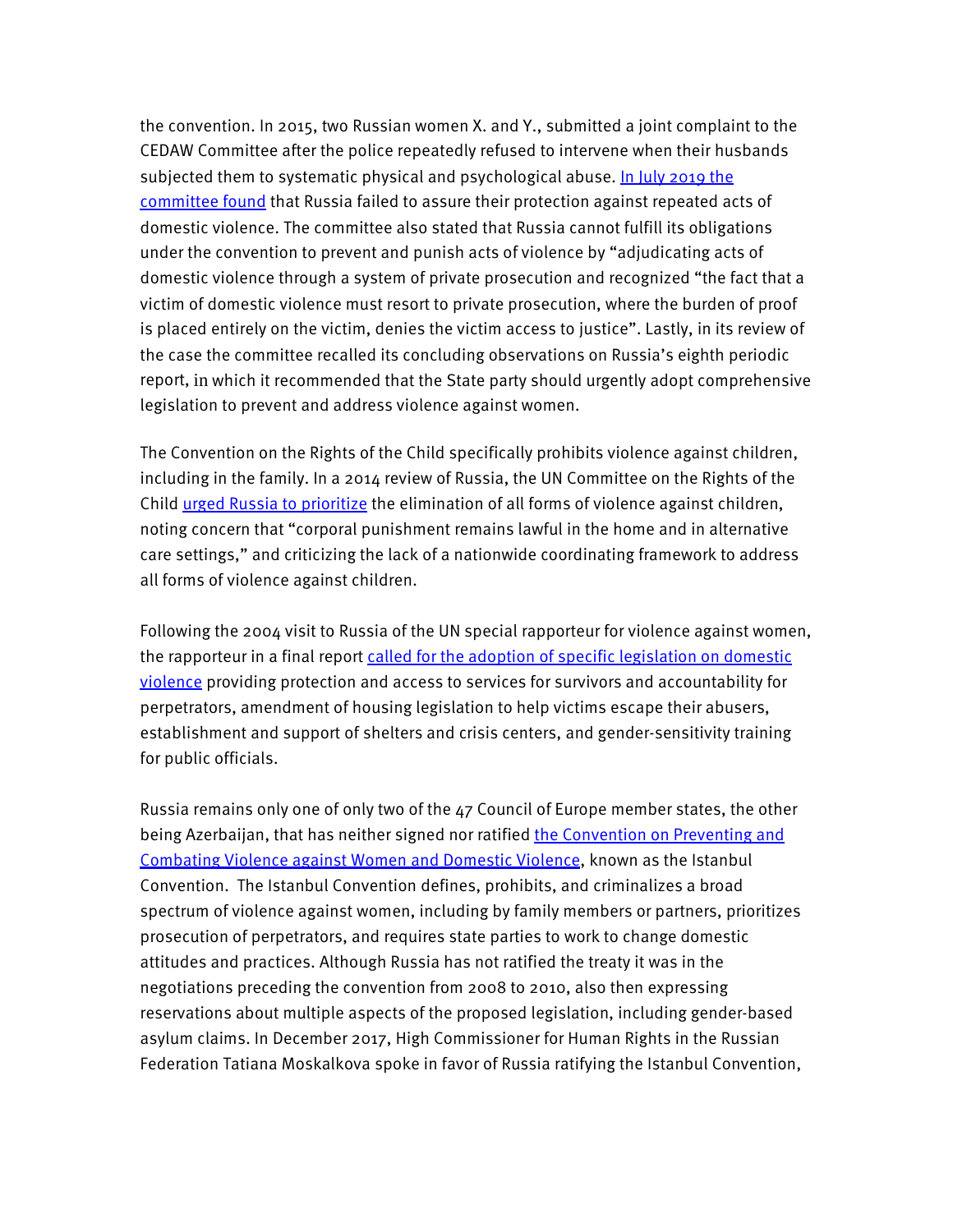the convention. In 2015, two Russian women X. and Y., submitted a joint complaint to the CEDAW Committee after the police repeatedly refused to intervene when their husbands subjected them to systematic physical and psychological abuse. In July 2019 the [committee found](https://tbinternet.ohchr.org/_layouts/15/treatybodyexternal/Download.aspx?symbolno=CEDAW%2fC%2f73%2fD%2f100%2f2016&Lang=en) that Russia failed to assure their protection against repeated acts of domestic violence. The committee also stated that Russia cannot fulfill its obligations under the convention to prevent and punish acts of violence by "adjudicating acts of domestic violence through a system of private prosecution and recognized "the fact that a victim of domestic violence must resort to private prosecution, where the burden of proof is placed entirely on the victim, denies the victim access to justice". Lastly, in its review of the case the committee recalled its concluding observations on Russia's eighth periodic report, in which it recommended that the State party should urgently adopt comprehensive legislation to prevent and address violence against women.

The Convention on the Rights of the Child specifically prohibits violence against children, including in the family. In a 2014 review of Russia, the UN Committee on the Rights of the Child [urged Russia to prioritize](https://tbinternet.ohchr.org/Treaties/CRC/Shared%20Documents/RUS/CRC_C_RUS_CO_4-5_16305_E.pdf) the elimination of all forms of violence against children, noting concern that "corporal punishment remains lawful in the home and in alternative care settings," and criticizing the lack of a nationwide coordinating framework to address all forms of violence against children.

Following the 2004 visit to Russia of the UN special rapporteur for violence against women, the rapporteur in a final report [called for the adoption of specific legislation on domestic](https://news.un.org/en/story/2004/12/124662-despite-progress-russia-has-much-do-improve-womens-rights-un-expert)  [violence](https://news.un.org/en/story/2004/12/124662-despite-progress-russia-has-much-do-improve-womens-rights-un-expert) providing protection and access to services for survivors and accountability for perpetrators, amendment of housing legislation to help victims escape their abusers, establishment and support of shelters and crisis centers, and gender-sensitivity training for public officials.

Russia remains only one of only two of the 47 Council of Europe member states, the other being Azerbaijan, that has neither signed nor ratified the Convention on Preventing and [Combating Violence against Women and Domestic Violence,](https://www.coe.int/en/web/istanbul-convention/home?) known as the Istanbul Convention. The Istanbul Convention defines, prohibits, and criminalizes a broad spectrum of violence against women, including by family members or partners, prioritizes prosecution of perpetrators, and requires state parties to work to change domestic attitudes and practices. Although Russia has not ratified the treaty it was in the negotiations preceding the convention from 2008 to 2010, also then expressing reservations about multiple aspects of the proposed legislation, including gender-based asylum claims. In December 2017, High Commissioner for Human Rights in the Russian Federation Tatiana Moskalkova spoke in favor of Russia ratifying the Istanbul Convention,